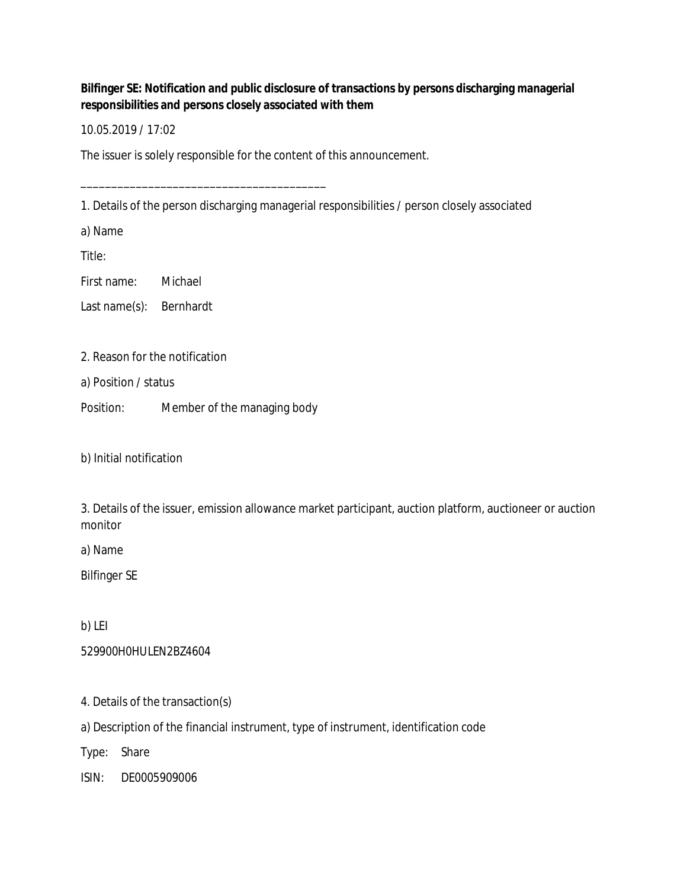**Bilfinger SE: Notification and public disclosure of transactions by persons discharging managerial responsibilities and persons closely associated with them**

10.05.2019 / 17:02

The issuer is solely responsible for the content of this announcement.

1. Details of the person discharging managerial responsibilities / person closely associated

a) Name

Title:

First name: Michael

Last name(s): Bernhardt

## 2. Reason for the notification

a) Position / status

Position: Member of the managing body

\_\_\_\_\_\_\_\_\_\_\_\_\_\_\_\_\_\_\_\_\_\_\_\_\_\_\_\_\_\_\_\_\_\_\_\_\_\_\_\_

b) Initial notification

3. Details of the issuer, emission allowance market participant, auction platform, auctioneer or auction monitor

a) Name

Bilfinger SE

b) LEI

529900H0HULEN2BZ4604

4. Details of the transaction(s)

a) Description of the financial instrument, type of instrument, identification code

Type: Share

ISIN: DE0005909006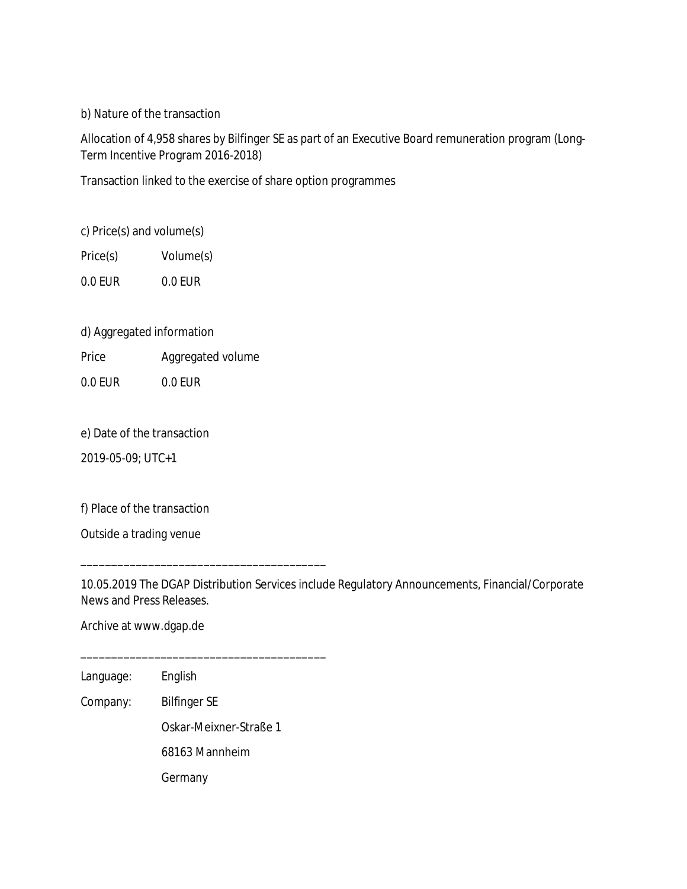b) Nature of the transaction

Allocation of 4,958 shares by Bilfinger SE as part of an Executive Board remuneration program (Long-Term Incentive Program 2016-2018)

Transaction linked to the exercise of share option programmes

c) Price(s) and volume(s)

Price(s) Volume(s)

0.0 EUR 0.0 EUR

d) Aggregated information

Price Aggregated volume

0.0 EUR 0.0 EUR

e) Date of the transaction

2019-05-09; UTC+1

f) Place of the transaction

Outside a trading venue

10.05.2019 The DGAP Distribution Services include Regulatory Announcements, Financial/Corporate News and Press Releases.

Archive at www.dgap.de

Language: English

Company: Bilfinger SE

Oskar-Meixner-Straße 1

68163 Mannheim

\_\_\_\_\_\_\_\_\_\_\_\_\_\_\_\_\_\_\_\_\_\_\_\_\_\_\_\_\_\_\_\_\_\_\_\_\_\_\_\_

\_\_\_\_\_\_\_\_\_\_\_\_\_\_\_\_\_\_\_\_\_\_\_\_\_\_\_\_\_\_\_\_\_\_\_\_\_\_\_\_

Germany